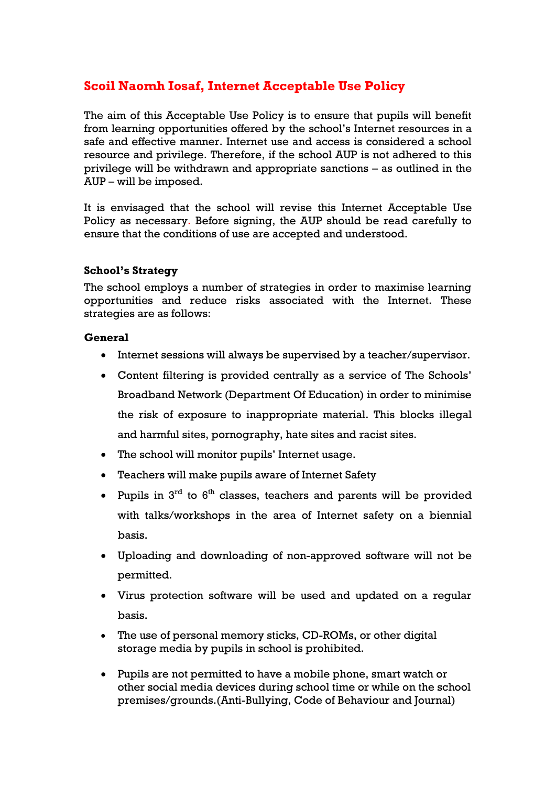# **Scoil Naomh Iosaf, Internet Acceptable Use Policy**

The aim of this Acceptable Use Policy is to ensure that pupils will benefit from learning opportunities offered by the school's Internet resources in a safe and effective manner. Internet use and access is considered a school resource and privilege. Therefore, if the school AUP is not adhered to this privilege will be withdrawn and appropriate sanctions – as outlined in the AUP – will be imposed.

It is envisaged that the school will revise this Internet Acceptable Use Policy as necessary. Before signing, the AUP should be read carefully to ensure that the conditions of use are accepted and understood.

## **School's Strategy**

The school employs a number of strategies in order to maximise learning opportunities and reduce risks associated with the Internet. These strategies are as follows:

#### **General**

- Internet sessions will always be supervised by a teacher/supervisor.
- Content filtering is provided centrally as a service of The Schools' Broadband Network (Department Of Education) in order to minimise the risk of exposure to inappropriate material. This blocks illegal and harmful sites, pornography, hate sites and racist sites.
- The school will monitor pupils' Internet usage.
- Teachers will make pupils aware of Internet Safety
- Pupils in  $3^{rd}$  to  $6^{th}$  classes, teachers and parents will be provided with talks/workshops in the area of Internet safety on a biennial basis.
- Uploading and downloading of non-approved software will not be permitted.
- Virus protection software will be used and updated on a regular basis.
- The use of personal memory sticks, CD-ROMs, or other digital storage media by pupils in school is prohibited.
- Pupils are not permitted to have a mobile phone, smart watch or other social media devices during school time or while on the school premises/grounds.(Anti-Bullying, Code of Behaviour and Journal)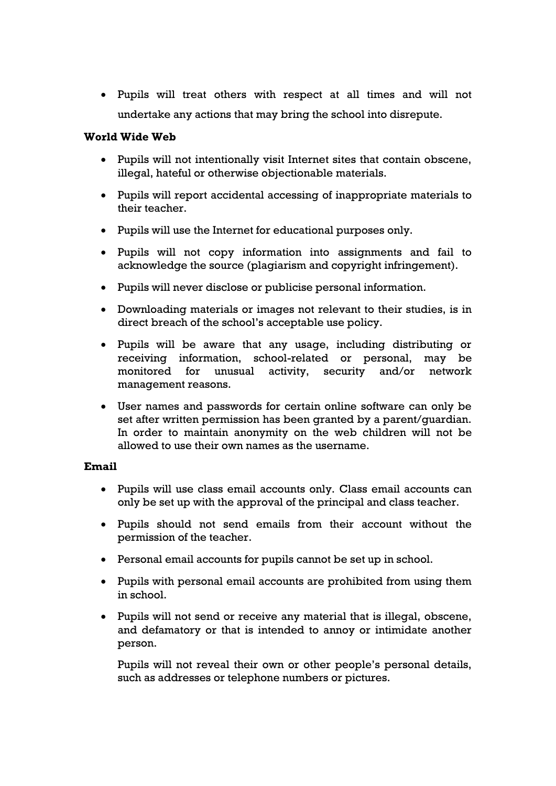Pupils will treat others with respect at all times and will not undertake any actions that may bring the school into disrepute.

## **World Wide Web**

- Pupils will not intentionally visit Internet sites that contain obscene, illegal, hateful or otherwise objectionable materials.
- Pupils will report accidental accessing of inappropriate materials to their teacher.
- Pupils will use the Internet for educational purposes only.
- Pupils will not copy information into assignments and fail to acknowledge the source (plagiarism and copyright infringement).
- Pupils will never disclose or publicise personal information.
- Downloading materials or images not relevant to their studies, is in direct breach of the school's acceptable use policy.
- Pupils will be aware that any usage, including distributing or receiving information, school-related or personal, may be monitored for unusual activity, security and/or network management reasons.
- User names and passwords for certain online software can only be set after written permission has been granted by a parent/guardian. In order to maintain anonymity on the web children will not be allowed to use their own names as the username.

#### **Email**

- Pupils will use class email accounts only. Class email accounts can only be set up with the approval of the principal and class teacher.
- Pupils should not send emails from their account without the permission of the teacher.
- Personal email accounts for pupils cannot be set up in school.
- Pupils with personal email accounts are prohibited from using them in school.
- Pupils will not send or receive any material that is illegal, obscene, and defamatory or that is intended to annoy or intimidate another person.

Pupils will not reveal their own or other people's personal details, such as addresses or telephone numbers or pictures.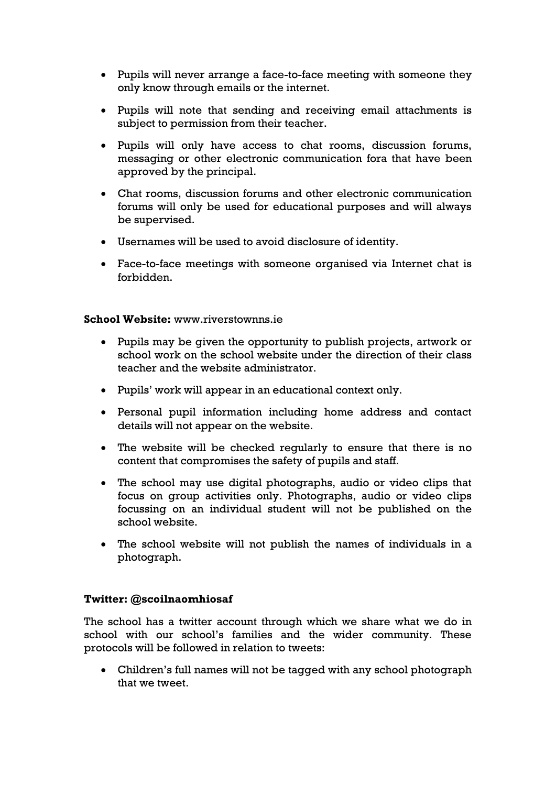- Pupils will never arrange a face-to-face meeting with someone they only know through emails or the internet.
- Pupils will note that sending and receiving email attachments is subject to permission from their teacher.
- Pupils will only have access to chat rooms, discussion forums, messaging or other electronic communication fora that have been approved by the principal.
- Chat rooms, discussion forums and other electronic communication forums will only be used for educational purposes and will always be supervised.
- Usernames will be used to avoid disclosure of identity.
- Face-to-face meetings with someone organised via Internet chat is forbidden.

#### **School Website:** www.riverstownns.ie

- Pupils may be given the opportunity to publish projects, artwork or school work on the school website under the direction of their class teacher and the website administrator.
- Pupils' work will appear in an educational context only.
- Personal pupil information including home address and contact details will not appear on the website.
- The website will be checked regularly to ensure that there is no content that compromises the safety of pupils and staff.
- The school may use digital photographs, audio or video clips that focus on group activities only. Photographs, audio or video clips focussing on an individual student will not be published on the school website.
- The school website will not publish the names of individuals in a photograph.

## **Twitter: @scoilnaomhiosaf**

The school has a twitter account through which we share what we do in school with our school's families and the wider community. These protocols will be followed in relation to tweets:

 Children's full names will not be tagged with any school photograph that we tweet.